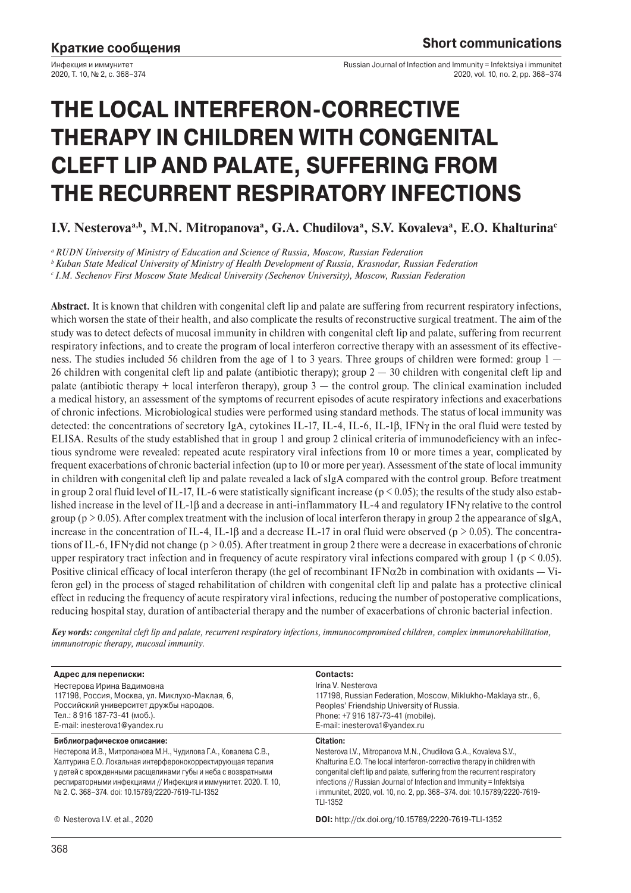Инфекция и иммунитет 2020, Т. 10, № 2, с. 368–374 Russian Journal of Infection and Immunity = Infektsiya i immunitet 2020, vol. 10, no. 2, pp. 368–374

# **THE LOCAL INTERFERON-CORRECTIVE THERAPY IN CHILDREN WITH CONGENITAL CLEFT LIP AND PALATE, SUFFERING FROM THE RECURRENT RESPIRATORY INFECTIONS**

I.V. Nesterova<sup>a,b</sup>, M.N. Mitropanova<sup>a</sup>, G.A. Chudilova<sup>a</sup>, S.V. Kovaleva<sup>a</sup>, E.O. Khalturina<sup>c</sup>

*a RUDN University of Ministry of Education and Science of Russia, Moscow, Russian Federation*

*b Kuban State Medical University of Ministry of Health Development of Russia, Krasnodar, Russian Federation*

*c I.M. Sechenov First Moscow State Medical University (Sechenov University), Moscow, Russian Federation*

**Abstract.** It is known that children with congenital cleft lip and palate are suffering from recurrent respiratory infections, which worsen the state of their health, and also complicate the results of reconstructive surgical treatment. The aim of the study was to detect defects of mucosal immunity in children with congenital cleft lip and palate, suffering from recurrent respiratory infections, and to create the program of local interferon corrective therapy with an assessment of its effectiveness. The studies included 56 children from the age of 1 to 3 years. Three groups of children were formed: group 1 — 26 children with congenital cleft lip and palate (antibiotic therapy); group  $2 - 30$  children with congenital cleft lip and palate (antibiotic therapy  $+$  local interferon therapy), group  $3$  — the control group. The clinical examination included a medical history, an assessment of the symptoms of recurrent episodes of acute respiratory infections and exacerbations of chronic infections. Microbiological studies were performed using standard methods. The status of local immunity was detected: the concentrations of secretory IgA, cytokines IL-17, IL-4, IL-6, IL-1β, IFNγ in the oral fluid were tested by ELISA. Results of the study established that in group 1 and group 2 clinical criteria of immunodeficiency with an infectious syndrome were revealed: repeated acute respiratory viral infections from 10 or more times a year, complicated by frequent exacerbations of chronic bacterial infection (up to 10 or more per year). Assessment of the state of local immunity in children with congenital cleft lip and palate revealed a lack of sIgA compared with the control group. Before treatment in group 2 oral fluid level of IL-17, IL-6 were statistically significant increase ( $p < 0.05$ ); the results of the study also established increase in the level of IL-1β and a decrease in anti-inflammatory IL-4 and regulatory IFNγ relative to the control group ( $p > 0.05$ ). After complex treatment with the inclusion of local interferon therapy in group 2 the appearance of sIgA, increase in the concentration of IL-4, IL-1 $\beta$  and a decrease IL-17 in oral fluid were observed (p  $> 0.05$ ). The concentrations of IL-6, IFNγ did not change (p > 0.05). After treatment in group 2 there were a decrease in exacerbations of chronic upper respiratory tract infection and in frequency of acute respiratory viral infections compared with group  $1 (p < 0.05)$ . Positive clinical efficacy of local interferon therapy (the gel of recombinant  $IFN\alpha2b$  in combination with oxidants  $-Vi$ feron gel) in the process of staged rehabilitation of children with congenital cleft lip and palate has a protective clinical effect in reducing the frequency of acute respiratory viral infections, reducing the number of postoperative complications, reducing hospital stay, duration of antibacterial therapy and the number of exacerbations of chronic bacterial infection.

*Key words: congenital cleft lip and palate, recurrent respiratory infections, immunocompromised children, complex immunorehabilitation, immunotropic therapy, mucosal immunity.*

| Адрес для переписки:<br>Нестерова Ирина Вадимовна<br>117198, Россия, Москва, ул. Миклухо-Маклая, 6,<br>Российский университет дружбы народов.<br>Тел.: 8 916 187-73-41 (моб.).<br>E-mail: inesterova1@yandex.ru                                                                                                                                      | Contacts:<br>Irina V. Nesterova<br>117198, Russian Federation, Moscow, Miklukho-Maklaya str., 6,<br>Peoples' Friendship University of Russia.<br>Phone: +7 916 187-73-41 (mobile).<br>E-mail: inesterova1@yandex.ru                                                                                                                                                                                    |
|------------------------------------------------------------------------------------------------------------------------------------------------------------------------------------------------------------------------------------------------------------------------------------------------------------------------------------------------------|--------------------------------------------------------------------------------------------------------------------------------------------------------------------------------------------------------------------------------------------------------------------------------------------------------------------------------------------------------------------------------------------------------|
| Библиографическое описание:<br>Нестерова И.В., Митропанова М.Н., Чудилова Г.А., Ковалева С.В.,<br>Халтурина Е.О. Локальная интерферонокорректирующая терапия<br>у детей с врожденными расщелинами губы и неба с возвратными<br>респираторными инфекциями // Инфекция и иммунитет. 2020. Т. 10,<br>No 2. C. 368-374. doi: 10.15789/2220-7619-TLI-1352 | Citation:<br>Nesterova I.V., Mitropanova M.N., Chudilova G.A., Kovaleva S.V.,<br>Khalturina E.O. The local interferon-corrective therapy in children with<br>congenital cleft lip and palate, suffering from the recurrent respiratory<br>infections // Russian Journal of Infection and Immunity = Infektsiya<br>i immunitet, 2020, vol. 10, no. 2, pp. 368-374. doi: 10.15789/2220-7619-<br>TLI-1352 |
| © Nesterova I.V. et al., 2020                                                                                                                                                                                                                                                                                                                        | <b>DOI:</b> http://dx.doi.org/10.15789/2220-7619-TLI-1352                                                                                                                                                                                                                                                                                                                                              |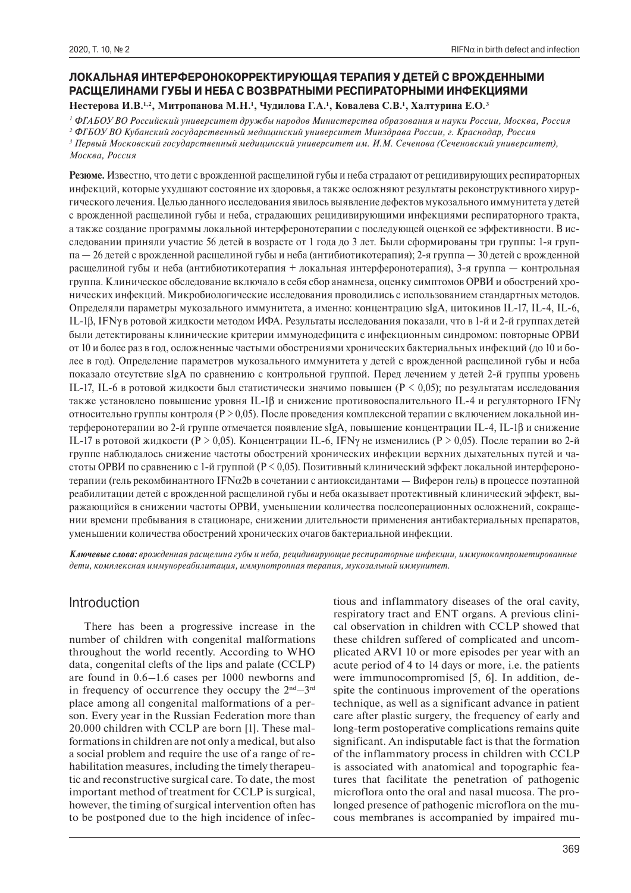# **ЛОКАЛЬНАЯ ИНТЕРФЕРОНОКОРРЕКТИРУЮЩАЯ ТЕРАПИЯ У ДЕТЕЙ С ВРОЖДЕННЫМИ РАСЩЕЛИНАМИ ГУБЫ И НЕБА С ВОЗВРАТНЫМИ РЕСПИРАТОРНЫМИ ИНФЕКЦИЯМИ**

Нестерова И.В.<sup>1,2</sup>, Митропанова М.Н.<sup>1</sup>, Чудилова Г.А.<sup>1</sup>, Ковалева С.В.<sup>1</sup>, Халтурина Е.О.<sup>3</sup>

*1 ФГАБОУ ВО Российский университет дружбы народов Министерства образования и науки России, Москва, Россия*

*2 ФГБОУ ВО Кубанский государственный медицинский университет Минздрава России, г. Краснодар, Россия* <sup>3</sup> Первый Московский государственный медицинский университет им. И.М. Сеченова (Сеченовский университет),

*Москва, Россия*

**Резюме.** Известно, что дети с врожденной расщелиной губы и неба страдают от рецидивирующих респираторных инфекций, которые ухудшают состояние их здоровья, а также осложняют результаты реконструктивного хирургического лечения. Целью данного исследования явилось выявление дефектов мукозального иммунитета у детей с врожденной расщелиной губы и неба, страдающих рецидивирующими инфекциями респираторного тракта, а также создание программы локальной интерферонотерапии с последующей оценкой ее эффективности. В исследовании приняли участие 56 детей в возрасте от 1 года до 3 лет. Были сформированы три группы: 1-я группа — 26 детей с врожденной расщелиной губы и неба (антибиотикотерапия); 2-я группа — 30 детей с врожденной расщелиной губы и неба (антибиотикотерапия + локальная интерферонотерапия), 3-я группа — контрольная группа. Клиническое обследование включало в себя сбор анамнеза, оценку симптомов ОРВИ и обострений хронических инфекций. Микробиологические исследования проводились с использованием стандартных методов. Определяли параметры мукозального иммунитета, а именно: концентрацию sIgA, цитокинов IL-17, IL-4, IL-6, IL-1β, IFNγ в ротовой жидкости методом ИФА. Результаты исследования показали, что в 1-й и 2-й группах детей были детектированы клинические критерии иммунодефицита с инфекционным синдромом: повторные ОРВИ от 10 и более раз в год, осложненные частыми обострениями хронических бактериальных инфекций (до 10 и более в год). Определение параметров мукозального иммунитета у детей с врожденной расщелиной губы и неба показало отсутствие sIgA по сравнению с контрольной группой. Перед лечением у детей 2-й группы уровень IL-17, IL-6 в ротовой жидкости был статистически значимо повышен (Р < 0,05); по результатам исследования также установлено повышение уровня IL-1β и снижение противовоспалительного IL-4 и регуляторного IFNγ относительно группы контроля ( $P > 0.05$ ). После проведения комплексной терапии с включением локальной интерферонотерапии во 2-й группе отмечается появление sIgA, повышение концентрации IL-4, IL-1β и снижение IL-17 в ротовой жидкости (Р > 0,05). Концентрации IL-6, IFN не изменились (Р > 0,05). После терапии во 2-й группе наблюдалось снижение частоты обострений хронических инфекции верхних дыхательных путей и частоты ОРВИ по сравнению с 1-й группой (Р < 0,05). Позитивный клинический эффект локальной интерферонотерапии (гель рекомбинантного IFN $\alpha$ 2b в сочетании с антиоксидантами — Виферон гель) в процессе поэтапной реабилитации детей с врожденной расщелиной губы и неба оказывает протективный клинический эффект, выражающийся в снижении частоты ОРВИ, уменьшении количества послеоперационных осложнений, сокращении времени пребывания в стационаре, снижении длительности применения антибактериальных препаратов, уменьшении количества обострений хронических очагов бактериальной инфекции.

*Ключевые слова: врожденная расщелина губы и неба, рецидивирующие респираторные инфекции, иммунокомпрометированные дети, комплексная иммунореабилитация, иммунотропная терапия, мукозальный иммунитет.*

# Introduction

There has been a progressive increase in the number of children with congenital malformations throughout the world recently. According to WHO data, congenital clefts of the lips and palate (CCLP) are found in 0.6–1.6 cases per 1000 newborns and in frequency of occurrence they occupy the  $2<sup>nd</sup> - 3<sup>rd</sup>$ place among all congenital malformations of a person. Every year in the Russian Federation more than 20.000 children with CCLP are born [1]. These malformations in children are not only a medical, but also a social problem and require the use of a range of rehabilitation measures, including the timely therapeutic and reconstructive surgical care. To date, the most important method of treatment for CCLP is surgical, however, the timing of surgical intervention often has to be postponed due to the high incidence of infectious and inflammatory diseases of the oral cavity, respiratory tract and ENT organs. A previous clinical observation in children with CCLP showed that these children suffered of complicated and uncomplicated ARVI 10 or more episodes per year with an acute period of 4 to 14 days or more, i.e. the patients were immunocompromised [5, 6]. In addition, despite the continuous improvement of the operations technique, as well as a significant advance in patient care after plastic surgery, the frequency of early and long-term postoperative complications remains quite significant. An indisputable fact is that the formation of the inflammatory process in children with CCLP is associated with anatomical and topographic features that facilitate the penetration of pathogenic microflora onto the oral and nasal mucosa. The prolonged presence of pathogenic microflora on the mucous membranes is accompanied by impaired mu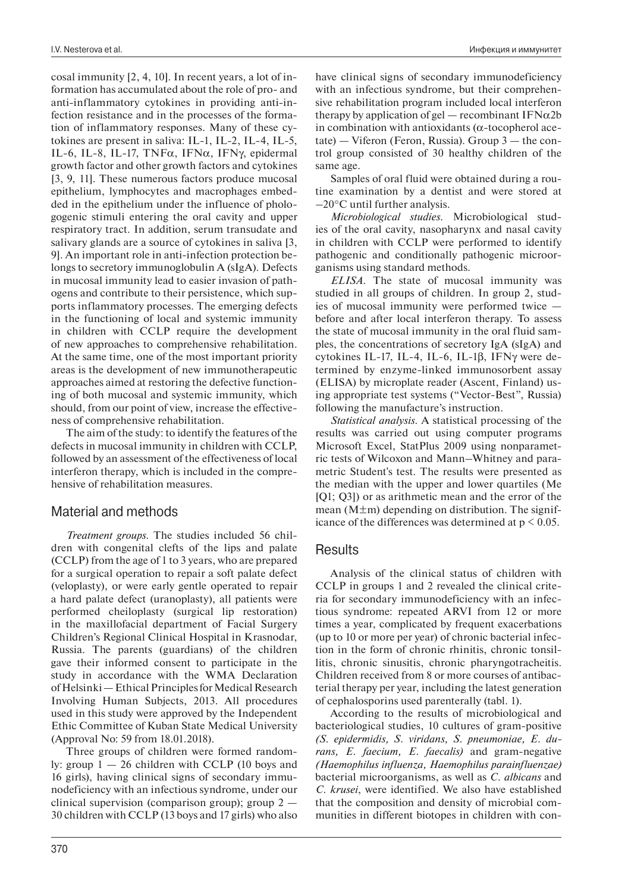cosal immunity [2, 4, 10]. In recent years, a lot of information has accumulated about the role of pro- and anti-inflammatory cytokines in providing anti-infection resistance and in the processes of the formation of inflammatory responses. Many of these cytokines are present in saliva: IL-1, IL-2, IL-4, IL-5, IL-6, IL-8, IL-17, TNFα, IFNα, IFNγ, epidermal growth factor and other growth factors and cytokines [3, 9, 11]. These numerous factors produce mucosal epithelium, lymphocytes and macrophages embedded in the epithelium under the influence of phologogenic stimuli entering the oral cavity and upper respiratory tract. In addition, serum transudate and salivary glands are a source of cytokines in saliva [3, 9]. An important role in anti-infection protection belongs to secretory immunoglobulin A (sIgA). Defects in mucosal immunity lead to easier invasion of pathogens and contribute to their persistence, which supports inflammatory processes. The emerging defects in the functioning of local and systemic immunity in children with CCLP require the development of new approaches to comprehensive rehabilitation. At the same time, one of the most important priority areas is the development of new immunotherapeutic approaches aimed at restoring the defective functioning of both mucosal and systemic immunity, which should, from our point of view, increase the effectiveness of comprehensive rehabilitation.

The aim of the study: to identify the features of the defects in mucosal immunity in children with CCLP, followed by an assessment of the effectiveness of local interferon therapy, which is included in the comprehensive of rehabilitation measures.

## Material and methods

*Treatment groups.* The studies included 56 children with congenital clefts of the lips and palate (CCLP) from the age of 1 to 3 years, who are prepared for a surgical operation to repair a soft palate defect (veloplasty), or were early gentle operated to repair a hard palate defect (uranoplasty), all patients were performed cheiloplasty (surgical lip restoration) in the maxillofacial department of Facial Surgery Children's Regional Clinical Hospital in Krasnodar, Russia. The parents (guardians) of the children gave their informed consent to participate in the study in accordance with the WMA Declaration of Helsinki — Ethical Principles for Medical Research Involving Human Subjects, 2013. All procedures used in this study were approved by the Independent Ethic Committee of Kuban State Medical University (Approval No: 59 from 18.01.2018).

Three groups of children were formed randomly: group  $1 - 26$  children with CCLP (10 boys and 16 girls), having clinical signs of secondary immunodeficiency with an infectious syndrome, under our clinical supervision (comparison group); group 2 — 30 children with CCLP (13 boys and 17 girls) who also

Samples of oral fluid were obtained during a routine examination by a dentist and were stored at –20°C until further analysis.

*Microbiological studies.* Microbiological studies of the oral cavity, nasopharynx and nasal cavity in children with CCLP were performed to identify pathogenic and conditionally pathogenic microorganisms using standard methods.

*ELISA.* The state of mucosal immunity was studied in all groups of children. In group 2, studies of mucosal immunity were performed twice before and after local interferon therapy. To assess the state of mucosal immunity in the oral fluid samples, the concentrations of secretory IgA (sIgA) and cytokines IL-17, IL-4, IL-6, IL-1β, IFNγ were determined by enzyme-linked immunosorbent assay (ELISA) by microplate reader (Ascent, Finland) using appropriate test systems ("Vector-Best", Russia) following the manufacture's instruction.

*Statistical analysis.* A statistical processing of the results was carried out using computer programs Microsoft Excel, StatPlus 2009 using nonparametric tests of Wilcoxon and Mann–Whitney and parametric Student's test. The results were presented as the median with the upper and lower quartiles (Me [Q1; Q3]) or as arithmetic mean and the error of the mean  $(M \pm m)$  depending on distribution. The significance of the differences was determined at  $p \leq 0.05$ .

## Results

Analysis of the clinical status of children with CCLP in groups 1 and 2 revealed the clinical criteria for secondary immunodeficiency with an infectious syndrome: repeated ARVI from 12 or more times a year, complicated by frequent exacerbations (up to 10 or more per year) of chronic bacterial infection in the form of chronic rhinitis, chronic tonsillitis, chronic sinusitis, chronic pharyngotracheitis. Children received from 8 or more courses of antibacterial therapy per year, including the latest generation of cephalosporins used parenterally (tabl. 1).

According to the results of microbiological and bacteriological studies, 10 cultures of gram-positive *(S. epidermidis, S. viridans, S. pneumoniae, E. durans, E. faecium, E. faecalis)* and gram-negative *(Haemophilus influenza, Haemophilus parainfluenzae)* bacterial microorganisms, as well as *C. albicans* and *C. krusei*, were identified. We also have established that the composition and density of microbial communities in different biotopes in children with con-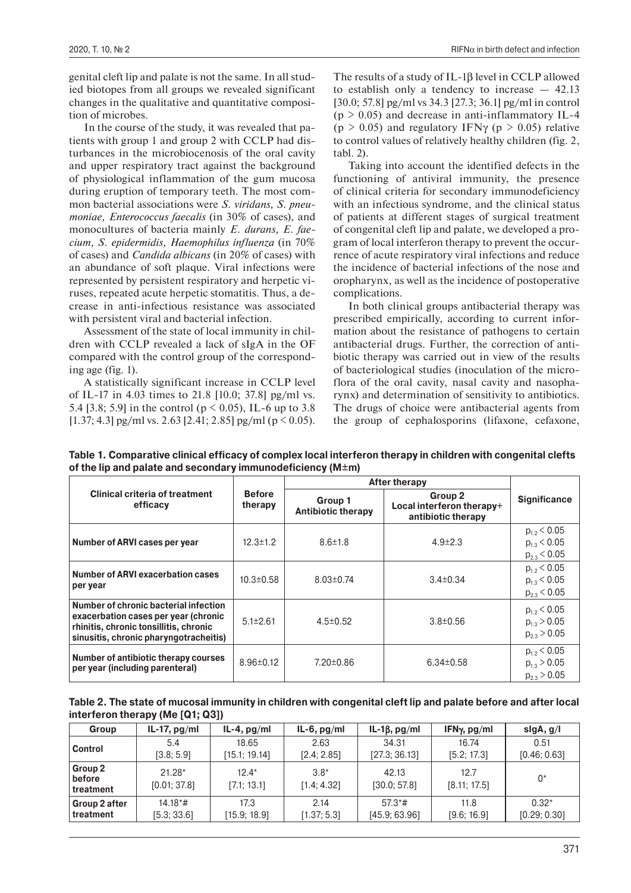genital cleft lip and palate is not the same. In all studied biotopes from all groups we revealed significant changes in the qualitative and quantitative composition of microbes.

In the course of the study, it was revealed that patients with group 1 and group 2 with CCLP had disturbances in the microbiocenosis of the oral cavity and upper respiratory tract against the background of physiological inflammation of the gum mucosa during eruption of temporary teeth. The most common bacterial associations were *S. viridans, S. pneumoniae, Enterococcus faecalis* (in 30% of cases), and monocultures of bacteria mainly *E. durans, E. faecium, S. epidermidis, Haemophilus influenza* (in 70% of cases) and *Candida albicans* (in 20% of cases) with an abundance of soft plaque. Viral infections were represented by persistent respiratory and herpetic viruses, repeated acute herpetic stomatitis. Thus, a decrease in anti-infectious resistance was associated with persistent viral and bacterial infection.

Assessment of the state of local immunity in children with CCLP revealed a lack of sIgA in the OF compared with the control group of the corresponding age (fig. 1).

A statistically significant increase in CCLP level of IL-17 in 4.03 times to 21.8 [10.0; 37.8] pg/ml vs. 5.4 [3.8; 5.9] in the control ( $p \le 0.05$ ), IL-6 up to 3.8 [1.37; 4.3] pg/ml vs. 2.63 [2.41; 2.85] pg/ml ( $p \le 0.05$ ). The results of a study of IL-1β level in CCLP allowed to establish only a tendency to increase — 42.13 [30.0; 57.8] pg/ml vs 34.3 [27.3; 36.1] pg/ml in control  $(p > 0.05)$  and decrease in anti-inflammatory IL-4  $(p > 0.05)$  and regulatory IFN<sub>γ</sub> ( $p > 0.05$ ) relative to control values of relatively healthy children (fig. 2, tabl. 2).

Taking into account the identified defects in the functioning of antiviral immunity, the presence of clinical criteria for secondary immunodeficiency with an infectious syndrome, and the clinical status of patients at different stages of surgical treatment of congenital cleft lip and palate, we developed a program of local interferon therapy to prevent the occurrence of acute respiratory viral infections and reduce the incidence of bacterial infections of the nose and oropharynx, as well as the incidence of postoperative complications.

In both clinical groups antibacterial therapy was prescribed empirically, according to current information about the resistance of pathogens to certain antibacterial drugs. Further, the correction of antibiotic therapy was carried out in view of the results of bacteriological studies (inoculation of the microflora of the oral cavity, nasal cavity and nasopharynx) and determination of sensitivity to antibiotics. The drugs of choice were antibacterial agents from the group of cephalosporins (lifaxone, cefaxone,

**Table 1. Comparative clinical efficacy of complex local interferon therapy in children with congenital clefts of the lip and palate and secondary immunodeficiency (M±m)**

|                                                                                                                                                                   |                          | <b>After therapy</b>                 |                                                                       |                                                          |
|-------------------------------------------------------------------------------------------------------------------------------------------------------------------|--------------------------|--------------------------------------|-----------------------------------------------------------------------|----------------------------------------------------------|
| <b>Clinical criteria of treatment</b><br>efficacy                                                                                                                 | <b>Before</b><br>therapy | Group 1<br><b>Antibiotic therapy</b> | Group <sub>2</sub><br>Local interferon therapy+<br>antibiotic therapy | <b>Significance</b>                                      |
| Number of ARVI cases per year                                                                                                                                     | $12.3 \pm 1.2$           | $8.6 \pm 1.8$                        | $4.9 \pm 2.3$                                                         | $p_{1.2}$ < 0.05<br>$p_{1.3}$ < 0.05<br>$p_{2.3}$ < 0.05 |
| Number of ARVI exacerbation cases<br>per year                                                                                                                     | $10.3 \pm 0.58$          | $8.03 \pm 0.74$                      | $3.4 \pm 0.34$                                                        | $p_{1.2}$ < 0.05<br>$p_{13}$ < 0.05<br>$p_{23}$ < 0.05   |
| Number of chronic bacterial infection<br>exacerbation cases per year (chronic<br>rhinitis, chronic tonsillitis, chronic<br>sinusitis, chronic pharyngotracheitis) | $5.1 \pm 2.61$           | $4.5 \pm 0.52$                       | $3.8 \pm 0.56$                                                        | $p_{1.2}$ < 0.05<br>$p_{1.3} > 0.05$<br>$p_{23}$ > 0.05  |
| Number of antibiotic therapy courses<br>per year (including parenteral)                                                                                           | $8.96 \pm 0.12$          | $7.20 \pm 0.86$                      | $6.34 \pm 0.58$                                                       | $p_{1.2}$ < 0.05<br>$p_{1.3} > 0.05$<br>$p_{2,3} > 0.05$ |

| Table 2. The state of mucosal immunity in children with congenital cleft lip and palate before and after local |  |
|----------------------------------------------------------------------------------------------------------------|--|
| interferon therapy (Me [Q1; Q3])                                                                               |  |

| <b>Group</b>                   | IL-17, $pg/ml$           | $IL-4$ , $pg/ml$       | $IL-6$ , $pg/ml$      | IL-1 $\beta$ , pg/ml  | IFN $\gamma$ , pg/ml | slgA, g/I    |
|--------------------------------|--------------------------|------------------------|-----------------------|-----------------------|----------------------|--------------|
| <b>Control</b>                 | 5.4                      | 18.65                  | 2.63                  | 34.31                 | 16.74                | 0.51         |
|                                | [3.8; 5.9]               | [15.1; 19.14]          | [2.4; 2.85]           | [27.3; 36.13]         | [5.2; 17.3]          | [0.46; 0.63] |
| Group 2<br>before<br>treatment | $21.28*$<br>[0.01; 37.8] | $12.4*$<br>[7.1; 13.1] | $3.8*$<br>[1.4; 4.32] | 42.13<br>[30.0; 57.8] | 12.7<br>[8.11; 17.5] | $0^*$        |
| Group 2 after                  | $14.18*$ #               | 17.3                   | 2.14                  | $57.3*$ #             | 11.8                 | $0.32*$      |
| treatment                      | [5.3; 33.6]              | [15.9; 18.9]           | [1.37; 5.3]           | [45.9; 63.96]         | [9.6; 16.9]          | [0.29; 0.30] |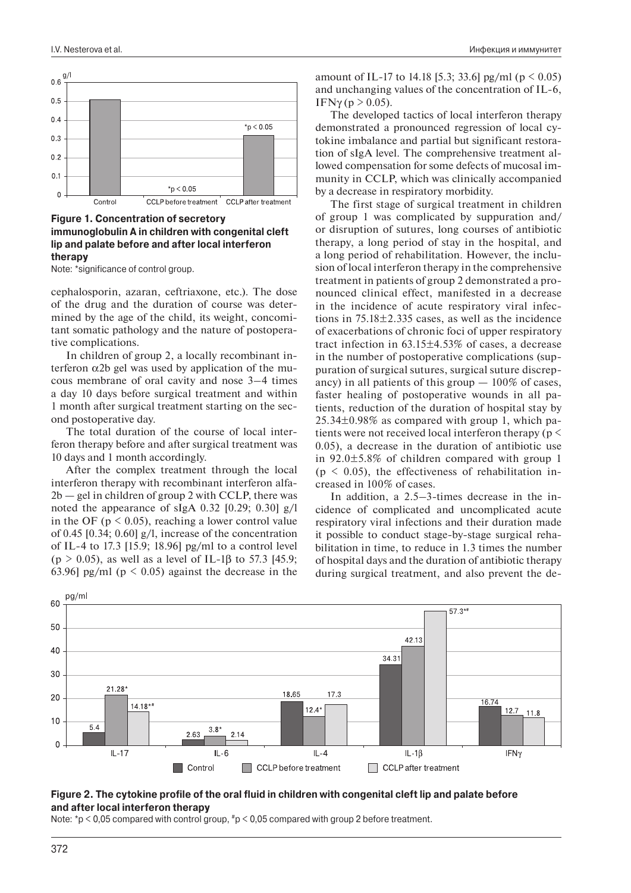

#### **Figure 1. Concentration of secretory immunoglobulin A in children with congenital cleft lip and palate before and after local interferon therapy**

Note: \*significance of control group.

cephalosporin, azaran, ceftriaxone, etc.). The dose of the drug and the duration of course was determined by the age of the child, its weight, concomitant somatic pathology and the nature of postoperative complications.

In children of group 2, a locally recombinant interferon α2b gel was used by application of the mucous membrane of oral cavity and nose 3–4 times a day 10 days before surgical treatment and within 1 month after surgical treatment starting on the second postoperative day.

The total duration of the course of local interferon therapy before and after surgical treatment was 10 days and 1 month accordingly.

After the complex treatment through the local interferon therapy with recombinant interferon alfa- $2b$  — gel in children of group 2 with CCLP, there was noted the appearance of sIgA 0.32 [0.29; 0.30] g/l in the OF ( $p < 0.05$ ), reaching a lower control value of 0.45 [0.34; 0.60] g/l, increase of the concentration of IL-4 to 17.3 [15.9; 18.96] pg/ml to a control level (p > 0.05), as well as a level of IL-1 $\beta$  to 57.3 [45.9; 63.96] pg/ml ( $p \le 0.05$ ) against the decrease in the

amount of IL-17 to 14.18 [5.3; 33.6] pg/ml ( $p \le 0.05$ ) and unchanging values of the concentration of IL-6, IFNγ (p > 0.05).

The developed tactics of local interferon therapy demonstrated a pronounced regression of local cytokine imbalance and partial but significant restoration of sIgA level. The comprehensive treatment allowed compensation for some defects of mucosal immunity in CCLP, which was clinically accompanied by a decrease in respiratory morbidity.

The first stage of surgical treatment in children of group 1 was complicated by suppuration and/ or disruption of sutures, long courses of antibiotic therapy, a long period of stay in the hospital, and a long period of rehabilitation. However, the inclusion of local interferon therapy in the comprehensive treatment in patients of group 2 demonstrated a pronounced clinical effect, manifested in a decrease in the incidence of acute respiratory viral infections in  $75.18 \pm 2.335$  cases, as well as the incidence of exacerbations of chronic foci of upper respiratory tract infection in 63.15±4.53% of cases, a decrease in the number of postoperative complications (suppuration of surgical sutures, surgical suture discrepancy) in all patients of this group  $-100\%$  of cases, faster healing of postoperative wounds in all patients, reduction of the duration of hospital stay by 25.34±0.98% as compared with group 1, which patients were not received local interferon therapy (p <  $(0.05)$ , a decrease in the duration of antibiotic use in 92.0±5.8% of children compared with group 1  $(p \le 0.05)$ , the effectiveness of rehabilitation increased in 100% of cases.

In addition, a 2.5–3-times decrease in the incidence of complicated and uncomplicated acute respiratory viral infections and their duration made it possible to conduct stage-by-stage surgical rehabilitation in time, to reduce in 1.3 times the number of hospital days and the duration of antibiotic therapy during surgical treatment, and also prevent the de-



#### **Figure 2. The cytokine profile of the oral fluid in children with congenital cleft lip and palate before and after local interferon therapy**

Note: \*p < 0,05 compared with control group, #p < 0,05 compared with group 2 before treatment.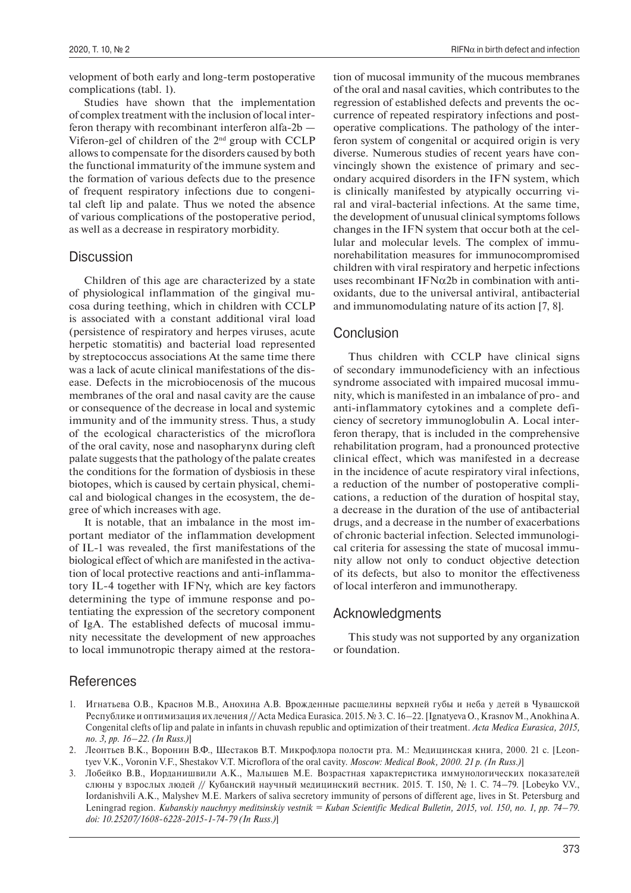velopment of both early and long-term postoperative complications (tabl. 1).

Studies have shown that the implementation of complex treatment with the inclusion of local interferon therapy with recombinant interferon alfa-2b — Viferon-gel of children of the 2nd group with CCLP allows to compensate for the disorders caused by both the functional immaturity of the immune system and the formation of various defects due to the presence of frequent respiratory infections due to congenital cleft lip and palate. Thus we noted the absence of various complications of the postoperative period, as well as a decrease in respiratory morbidity.

#### **Discussion**

Children of this age are characterized by a state of physiological inflammation of the gingival mucosa during teething, which in children with CCLP is associated with a constant additional viral load (persistence of respiratory and herpes viruses, acute herpetic stomatitis) and bacterial load represented by streptococcus associations At the same time there was a lack of acute clinical manifestations of the disease. Defects in the microbiocenosis of the mucous membranes of the oral and nasal cavity are the cause or consequence of the decrease in local and systemic immunity and of the immunity stress. Thus, a study of the ecological characteristics of the microflora of the oral cavity, nose and nasopharynx during cleft palate suggests that the pathology of the palate creates the conditions for the formation of dysbiosis in these biotopes, which is caused by certain physical, chemical and biological changes in the ecosystem, the degree of which increases with age.

It is notable, that an imbalance in the most important mediator of the inflammation development of IL-1 was revealed, the first manifestations of the biological effect of which are manifested in the activation of local protective reactions and anti-inflammatory IL-4 together with IFNγ, which are key factors determining the type of immune response and potentiating the expression of the secretory component of IgA. The established defects of mucosal immunity necessitate the development of new approaches to local immunotropic therapy aimed at the restoration of mucosal immunity of the mucous membranes of the oral and nasal cavities, which contributes to the regression of established defects and prevents the occurrence of repeated respiratory infections and postoperative complications. The pathology of the interferon system of congenital or acquired origin is very diverse. Numerous studies of recent years have convincingly shown the existence of primary and secondary acquired disorders in the IFN system, which is clinically manifested by atypically occurring viral and viral-bacterial infections. At the same time, the development of unusual clinical symptoms follows changes in the IFN system that occur both at the cellular and molecular levels. The complex of immunorehabilitation measures for immunocompromised children with viral respiratory and herpetic infections uses recombinant IFN $\alpha$ 2b in combination with antioxidants, due to the universal antiviral, antibacterial and immunomodulating nature of its action [7, 8].

#### Conclusion

Thus children with CCLP have clinical signs of secondary immunodeficiency with an infectious syndrome associated with impaired mucosal immunity, which is manifested in an imbalance of pro- and anti-inflammatory cytokines and a complete deficiency of secretory immunoglobulin A. Local interferon therapy, that is included in the comprehensive rehabilitation program, had a pronounced protective clinical effect, which was manifested in a decrease in the incidence of acute respiratory viral infections, a reduction of the number of postoperative complications, a reduction of the duration of hospital stay, a decrease in the duration of the use of antibacterial drugs, and a decrease in the number of exacerbations of chronic bacterial infection. Selected immunological criteria for assessing the state of mucosal immunity allow not only to conduct objective detection of its defects, but also to monitor the effectiveness of local interferon and immunotherapy.

#### Acknowledgments

This study was not supported by any organization or foundation.

#### **References**

- 1. Игнатьева О.В., Краснов М.В., Анохина А.В. Врожденные расщелины верхней губы и неба у детей в Чувашской Республике и оптимизация их лечения // Acta Medica Eurasica. 2015. № 3. С. 16–22. [Ignatyeva O., Krasnov M., Anokhina A. Congenital clefts of lip and palate in infants in chuvash republic and optimization of their treatment. *Acta Medica Eurasica, 2015, no. 3, pp. 16–22. (In Russ.)*]
- 2. Леонтьев В.К., Воронин В.Ф., Шестаков В.Т. Микрофлора полости рта. М.: Медицинская книга, 2000. 21 с. [Leontyev V.K., Voronin V.F., Shestakov V.T. Microflora of the oral cavity. *Moscow: Medical Book, 2000. 21 p. (In Russ.)*]
- 3. Лобейко В.В., Иорданишвили А.К., Малышев М.Е. Возрастная характеристика иммунологических показателей слюны у взрослых людей // Кубанский научный медицинский вестник. 2015. Т. 150, № 1. С. 74–79. [Lobeyko V.V., Iordanishvili A.K., Malyshev M.E. Markers of saliva secretory immunity of persons of different age, lives in St. Petersburg and Leningrad region. *Kubanskiy nauchnyy meditsinskiy vestnik = Kuban Scientific Medical Bulletin, 2015, vol. 150, no. 1, pp. 74–79. doi: 10.25207/1608-6228-2015-1-74-79 (In Russ.)*]